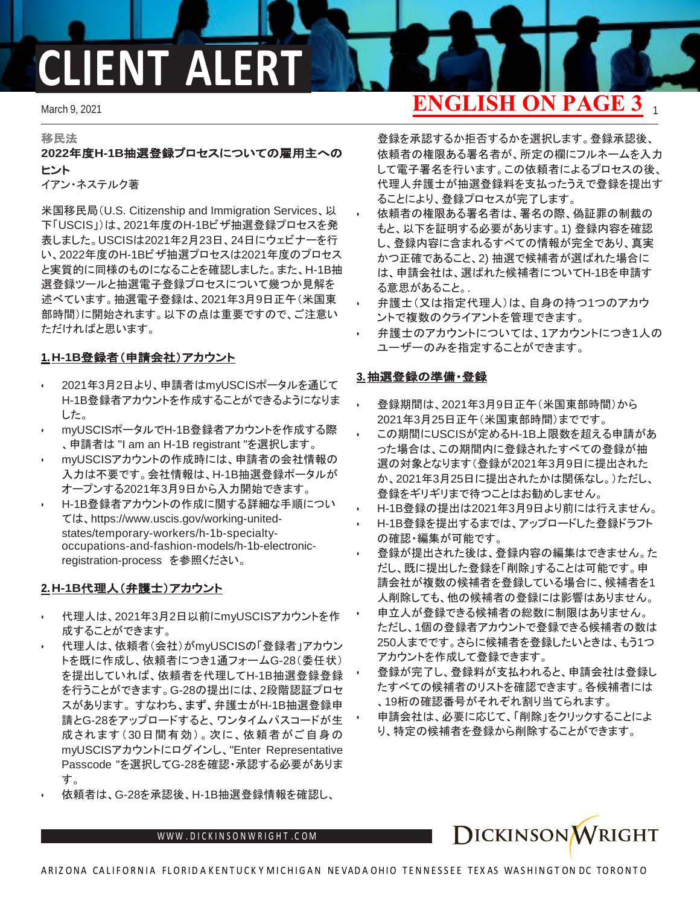# **CLIENT ALERT**

#### 移民法

#### **2022**年度**H-1B**抽選登録プロセスについての雇用主への ヒント

イアン・ネステルク著

米国移民局(U.S. Citizenship and Immigration Services、以 下「USCIS」)は、2021年度のH-1Bビザ抽選登録プロセスを発 表しました。USCISは2021年2月23日、24日にウェビナーを行 い、2022年度のH-1Bビザ抽選プロセスは2021年度のプロセス と実質的に同様のものになることを確認しました。また、H-1B抽 選登録ツールと抽選電子登録プロセスについて幾つか見解を 述べています。抽選電子登録は、2021年3月9日正午(米国東 部時間)に開始されます。以下の点は重要ですので、ご注意い ただければと思います。

#### **1.H-1B**登録者(申請会社)アカウント

- 2021年3月2日より、申請者はmyUSCISポータルを通じて H-1B登録者アカウントを作成することができるようになりま した。
- myUSCISポータルでH-1B登録者アカウントを作成する際 、申請者は "I am an H-1B registrant "を選択します。
- myUSCISアカウントの作成時には、申請者の会社情報の 入力は不要です。会社情報は、H-1B抽選登録ポータルが オープンする2021年3月9日から入力開始できます。
- H-1B登録者アカウントの作成に関する詳細な手順につい ては、[https://www.uscis.](http://www.uscis.gov/working-united-states/)g[ov/working-united](http://www.uscis.gov/working-united-states/)[states/t](http://www.uscis.gov/working-united-states/)emporary-workers/h-1b-specialtyoccupations-and-fashion-models/h-1b-electronicregistration-process を参照ください。

#### **2.H-1B**代理人(弁護士)アカウント

- 代理人は、2021年3月2日以前にmyUSCISアカウントを作 成することができます。
- 代理人は、依頼者(会社)がmyUSCISの「登録者」アカウン トを既に作成し、依頼者につき1通フォームG-28(委任状) を提出していれば、依頼者を代理してH-1B抽選登録登録 を行うことができます。G-28の提出には、2段階認証プロセ スがあります。 すなわち、まず、弁護士がH-1B抽選登録申 請とG-28をアップロードすると、ワンタイムパスコードが生 成されます(30日間有効)。次に、依頼者がご自身の myUSCISアカウントにログインし、"Enter Representative Passcode "を選択してG-28を確認・承認する必要がありま す。
- 依頼者は、G-28を承認後、H-1B抽選登録情報を確認し、

### March 9, 2021 1 **ENGLISH ON PAGE 3**

登録を承認するか拒否するかを選択します。登録承認後、 依頼者の権限ある署名者が、所定の欄にフルネームを入力 して電子署名を行います。この依頼者によるプロセスの後、 代理人弁護士が抽選登録料を支払ったうえで登録を提出す ることにより、登録プロセスが完了します。

- 依頼者の権限ある署名者は、署名の際、偽証罪の制裁の もと、以下を証明する必要があります。1) 登録内容を確認 し、登録内容に含まれるすべての情報が完全であり、真実 かつ正確であること、2) 抽選で候補者が選ばれた場合に は、申請会社は、選ばれた候補者についてH-1Bを申請す る意思があること。.
- 弁護士(又は指定代理人)は、自身の持つ1つのアカウ ントで複数のクライアントを管理できます。
- 弁護士のアカウントについては、1アカウントにつき1人の ユーザーのみを指定することができます。

#### **3.**抽選登録の準備・登録

- 登録期間は、2021年3月9日正午(米国東部時間)から 2021年3月25日正午(米国東部時間)までです。
- この期間にUSCISが定めるH-1B上限数を超える申請があ った場合は、この期間内に登録されたすべての登録が抽 選の対象となります(登録が2021年3月9日に提出された か、2021年3月25日に提出されたかは関係なし。)ただし、 登録をギリギリまで待つことはお勧めしません。
- H-1B登録の提出は2021年3月9日より前には行えません。
- H-1B登録を提出するまでは、アップロードした登録ドラフト の確認・編集が可能です。
- 登録が提出された後は、登録内容の編集はできません。た だし、既に提出した登録を「削除」することは可能です。申 請会社が複数の候補者を登録している場合に、候補者を1 人削除しても、他の候補者の登録には影響はありません。
- 申立人が登録できる候補者の総数に制限はありません。 ただし、1個の登録者アカウントで登録できる候補者の数は 250人までです。さらに候補者を登録したいときは、もう1つ アカウントを作成して登録できます。
- 登録が完了し、登録料が支払われると、申請会社は登録し たすべての候補者のリストを確認できます。各候補者には 、19桁の確認番号がそれぞれ割り当てられます。
- 申請会社は、必要に応じて、「削除」をクリックすることによ り、特定の候補者を登録から削除することができます。

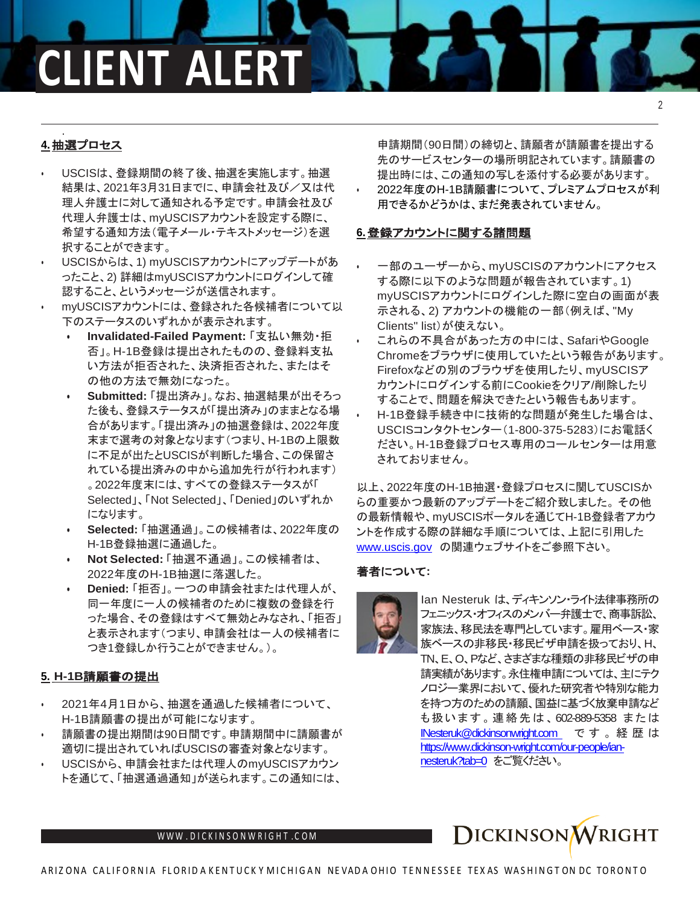### **CLIENT ALERT**

#### . **4.**抽選プロセス

- USCISは、登録期間の終了後、抽選を実施します。抽選 結果は、2021年3月31日までに、申請会社及び/又は代 理人弁護士に対して通知される予定です。申請会社及び 代理人弁護士は、myUSCISアカウントを設定する際に、 希望する通知方法(電子メール・テキストメッセージ)を選 択することができます。
- USCISからは、1) myUSCISアカウントにアップデートがあ ったこと、2) 詳細はmyUSCISアカウントにログインして確 認すること、というメッセージが送信されます。
- myUSCISアカウントには、登録された各候補者について以 下のステータスのいずれかが表示されます。
	- **• Invalidated-Failed Payment:** 「支払い無効・拒 否」。H-1B登録は提出されたものの、登録料支払 い方法が拒否された、決済拒否された、またはそ の他の方法で無効になった。
	- **• Submitted:** 「提出済み」。なお、抽選結果が出そろっ た後も、登録ステータスが「提出済み」のままとなる場 合があります。「提出済み」の抽選登録は、2022年度 末まで選考の対象となります(つまり、H-1Bの上限数 に不足が出たとUSCISが判断した場合、この保留さ れている提出済みの中から追加先行が行われます) 。2022年度末には、すべての登録ステータスが「 Selected」、「Not Selected」、「Denied」のいずれか になります。
	- **• Selected:** 「抽選通過」。この候補者は、2022年度の H-1B登録抽選に通過した。
	- **• Not Selected:** 「抽選不通過」。この候補者は、 2022年度のH-1B抽選に落選した。
	- **• Denied:** 「拒否」。一つの申請会社または代理人が、 同一年度に一人の候補者のために複数の登録を行 った場合、その登録はすべて無効とみなされ、「拒否」 と表示されます(つまり、申請会社は一人の候補者に つき1登録しか行うことができません。)。

### **5. H-1B**請願書の提出

- 2021年4月1日から、抽選を通過した候補者について、 H-1B請願書の提出が可能になります。
- 請願書の提出期間は90日間です。申請期間中に請願書が 適切に提出されていればUSCISの審査対象となります。
- USCISから、申請会社または代理人のmyUSCISアカウン トを通じて、「抽選通過通知」が送られます。この通知には、

申請期間(90日間)の締切と、請願者が請願書を提出する 先のサービスセンターの場所明記されています。請願書の 提出時には、この通知の写しを添付する必要があります。 • 2022年度のH-1B請願書について、プレミアムプロセスが利 用できるかどうかは、まだ発表されていません。

#### **6.**登録アカウントに関する諸問題

- 一部のユーザーから、myUSCISのアカウントにアクセス する際に以下のような問題が報告されています。1) myUSCISアカウントにログインした際に空白の画面が表 示される、2) アカウントの機能の一部(例えば、"My Clients" list)が使えない。
- これらの不具合があった方の中には、SafariやGoogle Chromeをブラウザに使用していたという報告があります。 Firefoxなどの別のブラウザを使用したり、myUSCISア カウントにログインする前にCookieをクリア/削除したり することで、問題を解決できたという報告もあります。
- H-1B登録手続き中に技術的な問題が発生した場合は、 USCISコンタクトセンター(1-800-375-5283)にお電話く ださい。H-1B登録プロセス専用のコールセンターは用意 されておりません。

以上、2022年度のH-1B抽選・登録プロセスに関してUSCISか らの重要かつ最新のアップデートをご紹介致しました。 その他 の最新情報や、myUSCISポータルを通じてH-1B登録者アカウ ントを作成する際の詳細な手順については、上記に引用した [www.uscis.gov](http://www.uscis.gov/) の関連ウェブサイトをご参照下さい。

#### 著者について**:**



Ian Nesteruk は、ディキンソン・ライト法律事務所の フェニックス・オフィスのメンバー弁護士で、商事訴訟、 家族法、移民法を専門としています。雇用ベース・家 族ベースの非移民・移民ビザ申請を扱っており、H、 TN、E、O、Pなど、さまざまな種類の非移民ビザの申 請実績があります。永住権申請については、主にテク ノロジー業界において、優れた研究者や特別な能力 を持つ方のための請願、国益に基づく放棄申請など も扱います。連絡先は、602-889-5358 または [INesteruk@dickinsonwright.com](mailto:INesteruk@dickinsonwright.com) です。経歴は [https://www.dickinson-wright.com/our-people/ian](https://www.dickinson-wright.com/our-people/ian-nesteruk?tab=0)[nesteruk?tab=0](https://www.dickinson-wright.com/our-people/ian-nesteruk?tab=0) をご覧ください。



 $\mathcal{D}$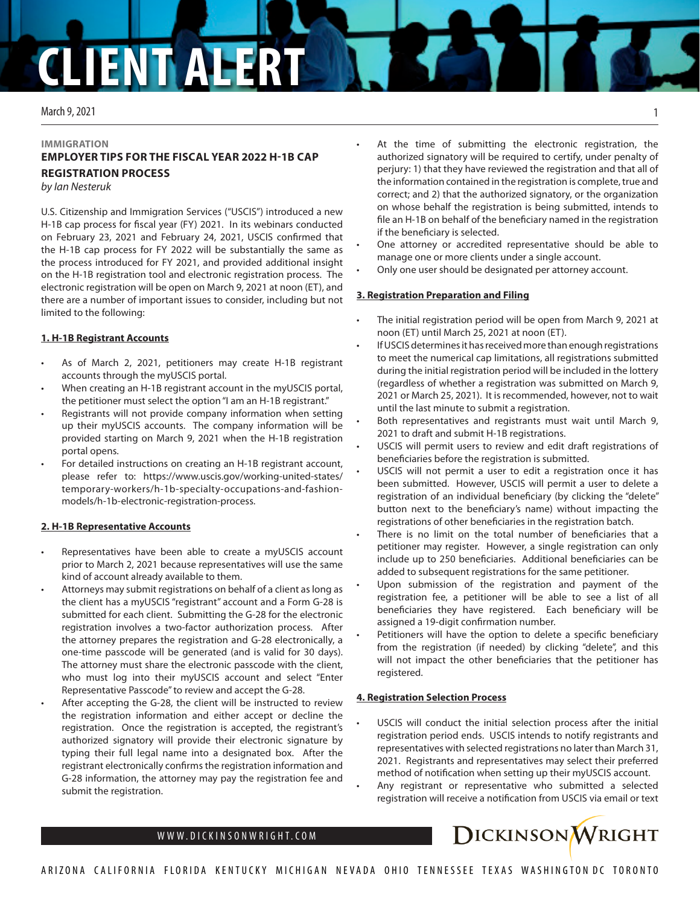## **CLIENT ALE**

#### March 9, 2021

#### **IMMIGRATION EMPLOYER TIPS FOR THE FISCAL YEAR 2022 H-1B CAP REGISTRATION PROCESS**

*by Ian Nesteruk* 

U.S. Citizenship and Immigration Services ("USCIS") introduced a new H-1B cap process for fiscal year (FY) 2021. In its webinars conducted on February 23, 2021 and February 24, 2021, USCIS confirmed that the H-1B cap process for FY 2022 will be substantially the same as the process introduced for FY 2021, and provided additional insight on the H-1B registration tool and electronic registration process. The electronic registration will be open on March 9, 2021 at noon (ET), and there are a number of important issues to consider, including but not limited to the following:

#### **1. H-1B Registrant Accounts**

- As of March 2, 2021, petitioners may create H-1B registrant accounts through the myUSCIS portal.
- When creating an H-1B registrant account in the myUSCIS portal, the petitioner must select the option "I am an H-1B registrant."
- Registrants will not provide company information when setting up their myUSCIS accounts. The company information will be provided starting on March 9, 2021 when the H-1B registration portal opens.
- For detailed instructions on creating an H-1B registrant account, please refer to: https://www.uscis.gov/working-united-states/ temporary-workers/h-1b-specialty-occupations-and-fashionmodels/h-1b-electronic-registration-process.

#### **2. H-1B Representative Accounts**

- Representatives have been able to create a myUSCIS account prior to March 2, 2021 because representatives will use the same kind of account already available to them.
- Attorneys may submit registrations on behalf of a client as long as the client has a myUSCIS "registrant" account and a Form G-28 is submitted for each client. Submitting the G-28 for the electronic registration involves a two-factor authorization process. After the attorney prepares the registration and G-28 electronically, a one-time passcode will be generated (and is valid for 30 days). The attorney must share the electronic passcode with the client, who must log into their myUSCIS account and select "Enter Representative Passcode" to review and accept the G-28.
- After accepting the G-28, the client will be instructed to review the registration information and either accept or decline the registration. Once the registration is accepted, the registrant's authorized signatory will provide their electronic signature by typing their full legal name into a designated box. After the registrant electronically confirms the registration information and G-28 information, the attorney may pay the registration fee and submit the registration.

At the time of submitting the electronic registration, the authorized signatory will be required to certify, under penalty of perjury: 1) that they have reviewed the registration and that all of the information contained in the registration is complete, true and correct; and 2) that the authorized signatory, or the organization on whose behalf the registration is being submitted, intends to file an H-1B on behalf of the beneficiary named in the registration if the beneficiary is selected.

- One attorney or accredited representative should be able to manage one or more clients under a single account.
- Only one user should be designated per attorney account.

#### **3. Registration Preparation and Filing**

- The initial registration period will be open from March 9, 2021 at noon (ET) until March 25, 2021 at noon (ET).
- If USCIS determines it has received more than enough registrations to meet the numerical cap limitations, all registrations submitted during the initial registration period will be included in the lottery (regardless of whether a registration was submitted on March 9, 2021 or March 25, 2021). It is recommended, however, not to wait until the last minute to submit a registration.
- Both representatives and registrants must wait until March 9, 2021 to draft and submit H-1B registrations.
- USCIS will permit users to review and edit draft registrations of beneficiaries before the registration is submitted.
- USCIS will not permit a user to edit a registration once it has been submitted. However, USCIS will permit a user to delete a registration of an individual beneficiary (by clicking the "delete" button next to the beneficiary's name) without impacting the registrations of other beneficiaries in the registration batch.
- There is no limit on the total number of beneficiaries that a petitioner may register. However, a single registration can only include up to 250 beneficiaries. Additional beneficiaries can be added to subsequent registrations for the same petitioner.
- Upon submission of the registration and payment of the registration fee, a petitioner will be able to see a list of all beneficiaries they have registered. Each beneficiary will be assigned a 19-digit confirmation number.
- Petitioners will have the option to delete a specific beneficiary from the registration (if needed) by clicking "delete", and this will not impact the other beneficiaries that the petitioner has registered.

#### **4. Registration Selection Process**

- USCIS will conduct the initial selection process after the initial registration period ends. USCIS intends to notify registrants and representatives with selected registrations no later than March 31, 2021. Registrants and representatives may select their preferred method of notification when setting up their myUSCIS account.
	- Any registrant or representative who submitted a selected registration will receive a notification from USCIS via email or text